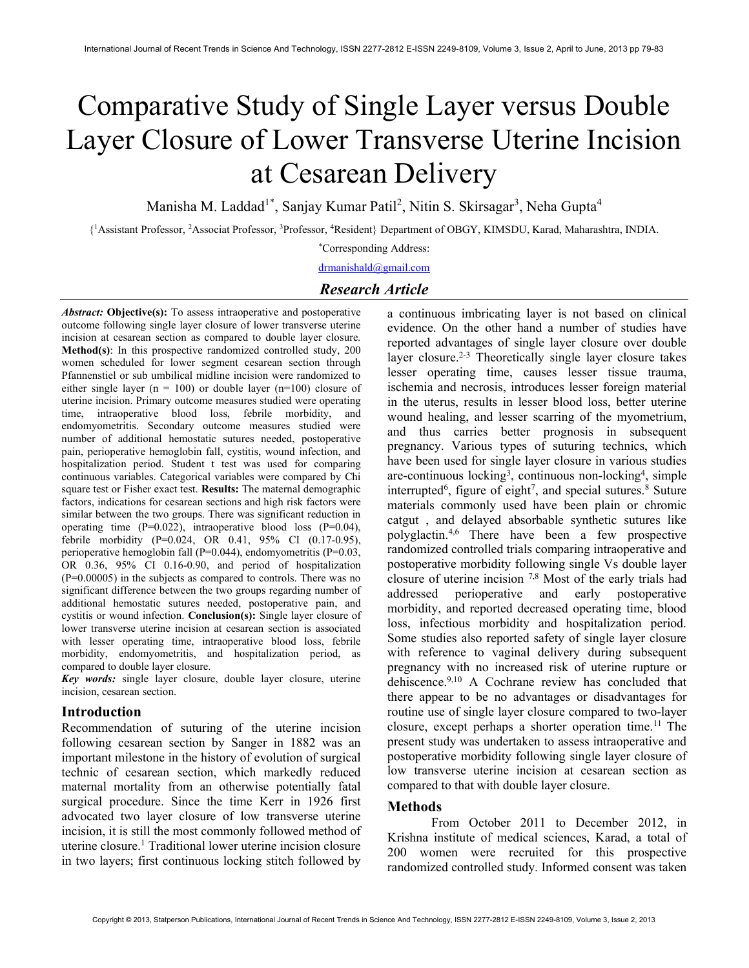# Comparative Study of Single Layer versus Double Layer Closure of Lower Transverse Uterine Incision at Cesarean Delivery

Manisha M. Laddad<sup>1\*</sup>, Sanjay Kumar Patil<sup>2</sup>, Nitin S. Skirsagar<sup>3</sup>, Neha Gupta<sup>4</sup>

{ <sup>1</sup>Assistant Professor, <sup>2</sup>Associat Professor, <sup>3</sup>Professor, <sup>4</sup>Resident} Department of OBGY, KIMSDU, Karad, Maharashtra, INDIA.

\*Corresponding Address:

drmanishald@gmail.com

## Research Article

Abstract: Objective(s): To assess intraoperative and postoperative outcome following single layer closure of lower transverse uterine incision at cesarean section as compared to double layer closure. Method(s): In this prospective randomized controlled study, 200 women scheduled for lower segment cesarean section through Pfannenstiel or sub umbilical midline incision were randomized to either single layer ( $n = 100$ ) or double layer ( $n=100$ ) closure of uterine incision. Primary outcome measures studied were operating time, intraoperative blood loss, febrile morbidity, and endomyometritis. Secondary outcome measures studied were number of additional hemostatic sutures needed, postoperative pain, perioperative hemoglobin fall, cystitis, wound infection, and hospitalization period. Student t test was used for comparing continuous variables. Categorical variables were compared by Chi square test or Fisher exact test. Results: The maternal demographic factors, indications for cesarean sections and high risk factors were similar between the two groups. There was significant reduction in operating time  $(P=0.022)$ , intraoperative blood loss  $(P=0.04)$ , febrile morbidity (P=0.024, OR 0.41, 95% CI (0.17-0.95), perioperative hemoglobin fall (P=0.044), endomyometritis (P=0.03, OR 0.36, 95% CI 0.16-0.90, and period of hospitalization (P=0.00005) in the subjects as compared to controls. There was no significant difference between the two groups regarding number of additional hemostatic sutures needed, postoperative pain, and cystitis or wound infection. Conclusion(s): Single layer closure of lower transverse uterine incision at cesarean section is associated with lesser operating time, intraoperative blood loss, febrile morbidity, endomyometritis, and hospitalization period, as compared to double layer closure.

Key words: single layer closure, double layer closure, uterine incision, cesarean section.

### Introduction

Recommendation of suturing of the uterine incision following cesarean section by Sanger in 1882 was an important milestone in the history of evolution of surgical technic of cesarean section, which markedly reduced maternal mortality from an otherwise potentially fatal surgical procedure. Since the time Kerr in 1926 first advocated two layer closure of low transverse uterine incision, it is still the most commonly followed method of uterine closure.<sup>1</sup> Traditional lower uterine incision closure in two layers; first continuous locking stitch followed by

a continuous imbricating layer is not based on clinical evidence. On the other hand a number of studies have reported advantages of single layer closure over double layer closure.<sup>2-3</sup> Theoretically single layer closure takes lesser operating time, causes lesser tissue trauma, ischemia and necrosis, introduces lesser foreign material in the uterus, results in lesser blood loss, better uterine wound healing, and lesser scarring of the myometrium, and thus carries better prognosis in subsequent pregnancy. Various types of suturing technics, which have been used for single layer closure in various studies are-continuous locking<sup>3</sup>, continuous non-locking<sup>4</sup>, simple interrupted<sup>6</sup>, figure of eight<sup>7</sup>, and special sutures.<sup>8</sup> Suture materials commonly used have been plain or chromic catgut , and delayed absorbable synthetic sutures like polyglactin.4,6 There have been a few prospective randomized controlled trials comparing intraoperative and postoperative morbidity following single Vs double layer closure of uterine incision  $7.8$  Most of the early trials had addressed perioperative and early postoperative morbidity, and reported decreased operating time, blood loss, infectious morbidity and hospitalization period. Some studies also reported safety of single layer closure with reference to vaginal delivery during subsequent pregnancy with no increased risk of uterine rupture or dehiscence.<sup>9,10</sup> A Cochrane review has concluded that there appear to be no advantages or disadvantages for routine use of single layer closure compared to two-layer closure, except perhaps a shorter operation time.<sup>11</sup> The present study was undertaken to assess intraoperative and postoperative morbidity following single layer closure of low transverse uterine incision at cesarean section as compared to that with double layer closure.

## Methods

From October 2011 to December 2012, in Krishna institute of medical sciences, Karad, a total of 200 women were recruited for this prospective randomized controlled study. Informed consent was taken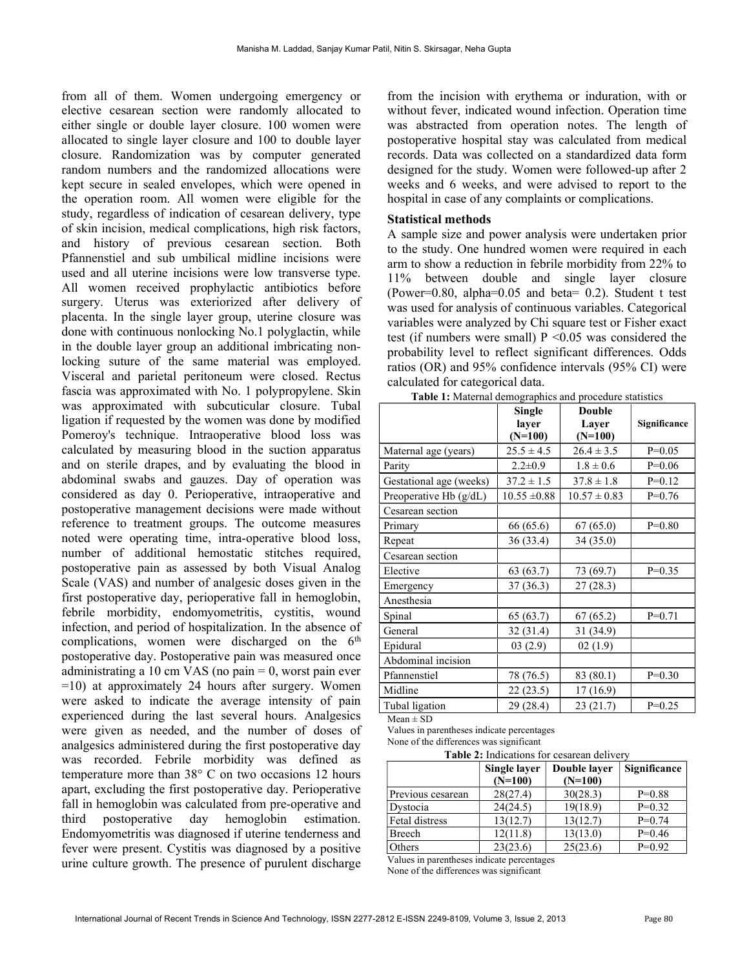from all of them. Women undergoing emergency or elective cesarean section were randomly allocated to either single or double layer closure. 100 women were allocated to single layer closure and 100 to double layer closure. Randomization was by computer generated random numbers and the randomized allocations were kept secure in sealed envelopes, which were opened in the operation room. All women were eligible for the study, regardless of indication of cesarean delivery, type of skin incision, medical complications, high risk factors, and history of previous cesarean section. Both Pfannenstiel and sub umbilical midline incisions were used and all uterine incisions were low transverse type. All women received prophylactic antibiotics before surgery. Uterus was exteriorized after delivery of placenta. In the single layer group, uterine closure was done with continuous nonlocking No.1 polyglactin, while in the double layer group an additional imbricating nonlocking suture of the same material was employed. Visceral and parietal peritoneum were closed. Rectus fascia was approximated with No. 1 polypropylene. Skin was approximated with subcuticular closure. Tubal ligation if requested by the women was done by modified Pomeroy's technique. Intraoperative blood loss was calculated by measuring blood in the suction apparatus and on sterile drapes, and by evaluating the blood in abdominal swabs and gauzes. Day of operation was considered as day 0. Perioperative, intraoperative and postoperative management decisions were made without reference to treatment groups. The outcome measures noted were operating time, intra-operative blood loss, number of additional hemostatic stitches required, postoperative pain as assessed by both Visual Analog Scale (VAS) and number of analgesic doses given in the first postoperative day, perioperative fall in hemoglobin, febrile morbidity, endomyometritis, cystitis, wound infection, and period of hospitalization. In the absence of complications, women were discharged on the  $6<sup>th</sup>$ postoperative day. Postoperative pain was measured once administrating a 10 cm VAS (no pain  $= 0$ , worst pain ever =10) at approximately 24 hours after surgery. Women were asked to indicate the average intensity of pain experienced during the last several hours. Analgesics were given as needed, and the number of doses of analgesics administered during the first postoperative day was recorded. Febrile morbidity was defined as temperature more than 38° C on two occasions 12 hours apart, excluding the first postoperative day. Perioperative fall in hemoglobin was calculated from pre-operative and third postoperative day hemoglobin estimation. Endomyometritis was diagnosed if uterine tenderness and fever were present. Cystitis was diagnosed by a positive urine culture growth. The presence of purulent discharge

from the incision with erythema or induration, with or without fever, indicated wound infection. Operation time was abstracted from operation notes. The length of postoperative hospital stay was calculated from medical records. Data was collected on a standardized data form designed for the study. Women were followed-up after 2 weeks and 6 weeks, and were advised to report to the hospital in case of any complaints or complications.

#### Statistical methods

A sample size and power analysis were undertaken prior to the study. One hundred women were required in each arm to show a reduction in febrile morbidity from 22% to 11% between double and single layer closure (Power=0.80, alpha=0.05 and beta=  $0.2$ ). Student t test was used for analysis of continuous variables. Categorical variables were analyzed by Chi square test or Fisher exact test (if numbers were small)  $P \le 0.05$  was considered the probability level to reflect significant differences. Odds ratios (OR) and 95% confidence intervals (95% CI) were calculated for categorical data.

| <b>Table 1:</b> Maternal demographics and procedure statistics |  |  |
|----------------------------------------------------------------|--|--|
|                                                                |  |  |

|                         | Single<br>laver<br>$(N=100)$ | <b>Double</b><br>Layer<br>$(N=100)$ | Significance |
|-------------------------|------------------------------|-------------------------------------|--------------|
| Maternal age (years)    | $25.5 \pm 4.5$               | $26.4 \pm 3.5$                      | $P=0.05$     |
| Parity                  | $2.2 \pm 0.9$                | $1.8 \pm 0.6$                       | $P=0.06$     |
| Gestational age (weeks) | $37.2 \pm 1.5$               | $37.8 \pm 1.8$                      | $P=0.12$     |
| Preoperative Hb (g/dL)  | $10.55 \pm 0.88$             | $10.57 \pm 0.83$                    | $P=0.76$     |
| Cesarean section        |                              |                                     |              |
| Primary                 | 66 (65.6)                    | 67(65.0)                            | $P=0.80$     |
| Repeat                  | 36 (33.4)                    | 34 (35.0)                           |              |
| Cesarean section        |                              |                                     |              |
| Elective                | 63 (63.7)                    | 73 (69.7)                           | $P=0.35$     |
| Emergency               | 37(36.3)                     | 27(28.3)                            |              |
| Anesthesia              |                              |                                     |              |
| Spinal                  | 65(63.7)                     | 67(65.2)                            | $P=0.71$     |
| General                 | 32 (31.4)                    | 31 (34.9)                           |              |
| Epidural                | 03(2.9)                      | 02(1.9)                             |              |
| Abdominal incision      |                              |                                     |              |
| Pfannenstiel            | 78 (76.5)                    | 83 (80.1)                           | $P=0.30$     |
| Midline                 | 22(23.5)                     | 17 (16.9)                           |              |
| Tubal ligation          | 29 (28.4)                    | 23(21.7)                            | $P=0.25$     |

 $Mean \pm SD$ 

Values in parentheses indicate percentages

None of the differences was significant

Table 2: Indications for cesarean delivery

| 1 AMIC 21 MAIGHNOID IOI COMPONI GOILLO |              |              |              |  |
|----------------------------------------|--------------|--------------|--------------|--|
|                                        | Single layer | Double laver | Significance |  |
|                                        | $(N=100)$    | $(N=100)$    |              |  |
| Previous cesarean                      | 28(27.4)     | 30(28.3)     | $P=0.88$     |  |
| Dystocia                               | 24(24.5)     | 19(18.9)     | $P=0.32$     |  |
| Fetal distress                         | 13(12.7)     | 13(12.7)     | $P=0.74$     |  |
| Breech                                 | 12(11.8)     | 13(13.0)     | $P=0.46$     |  |
| Others                                 | 23(23.6)     | 25(23.6)     | $P=0.92$     |  |

Values in parentheses indicate percentages

None of the differences was significant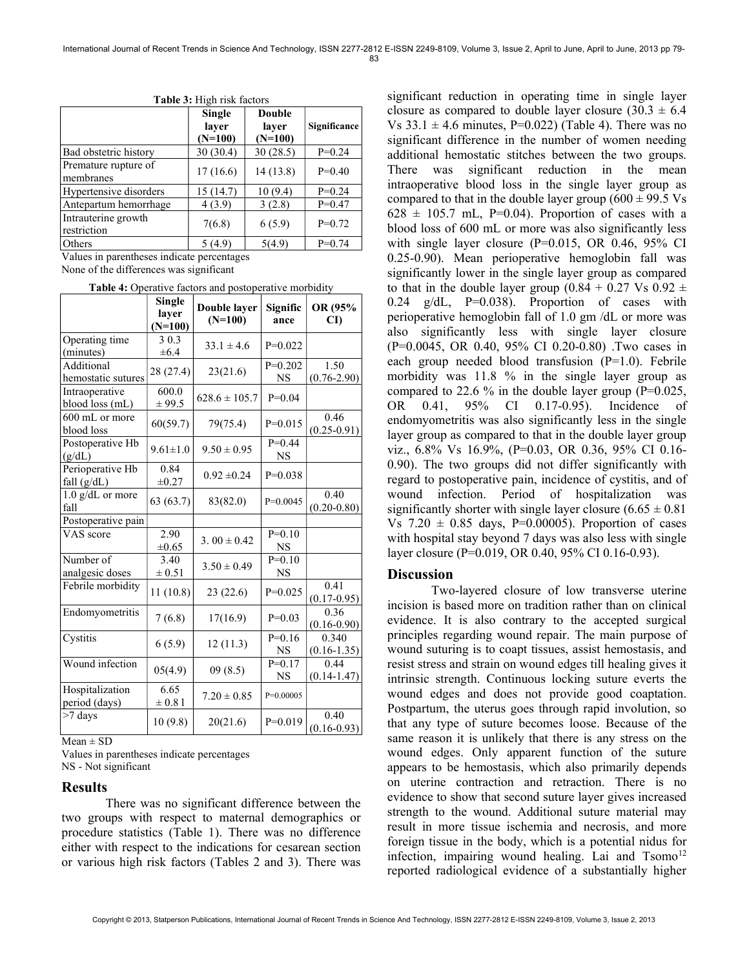|                                    | Single<br>layer<br>$(N=100)$ | <b>Double</b><br>layer<br>$(N=100)$ | Significance |
|------------------------------------|------------------------------|-------------------------------------|--------------|
| Bad obstetric history              | 30(30.4)                     | 30(28.5)                            | $P=0.24$     |
| Premature rupture of<br>membranes  | 17(16.6)                     | 14(13.8)                            | $P=0.40$     |
| Hypertensive disorders             | 15 (14.7)                    | 10(9.4)                             | $P=0.24$     |
| Antepartum hemorrhage              | 4(3.9)                       | 3(2.8)                              | $P=0.47$     |
| Intrauterine growth<br>restriction | 7(6.8)                       | 6(5.9)                              | $P=0.72$     |
| Others                             | 5(4.9)                       | 5(4.9)                              | $P=0.74$     |

Table 3: High risk factors

Values in parentheses indicate percentages None of the differences was significant

|  |  |  | <b>Table 4:</b> Operative factors and postoperative morbidity |  |
|--|--|--|---------------------------------------------------------------|--|
|--|--|--|---------------------------------------------------------------|--|

|                                   | Single<br>layer<br>$(N=100)$ | Double layer<br>$(N=100)$ | Signific<br>ance      | OR (95%<br>CI)           |
|-----------------------------------|------------------------------|---------------------------|-----------------------|--------------------------|
| Operating time<br>(minutes)       | 3 0.3<br>$\pm 6.4$           | $33.1 \pm 4.6$            | $P=0.022$             |                          |
| Additional<br>hemostatic sutures  | 28 (27.4)                    | 23(21.6)                  | $P=0.202$<br>NS       | 1.50<br>$(0.76 - 2.90)$  |
| Intraoperative<br>blood loss (mL) | 600.0<br>± 99.5              | $628.6 \pm 105.7$         | $P=0.04$              |                          |
| 600 mL or more<br>blood loss      | 60(59.7)                     | 79(75.4)                  | $P=0.015$             | 0.46<br>$(0.25 - 0.91)$  |
| Postoperative Hb<br>(g/dL)        | $9.61 \pm 1.0$               | $9.50 \pm 0.95$           | $P=0.44$<br><b>NS</b> |                          |
| Perioperative Hb<br>fall $(g/dL)$ | 0.84<br>$\pm 0.27$           | $0.92 \pm 0.24$           | $P=0.038$             |                          |
| $1.0$ g/dL or more<br>fall        | 63 (63.7)                    | 83(82.0)                  | $P=0.0045$            | 0.40<br>$(0.20 - 0.80)$  |
| Postoperative pain                |                              |                           |                       |                          |
| VAS score                         | 2.90<br>$\pm 0.65$           | 3.00 $\pm$ 0.42           | $P=0.10$<br><b>NS</b> |                          |
| Number of<br>analgesic doses      | 3.40<br>$\pm 0.51$           | $3.50 \pm 0.49$           | $P=0.10$<br><b>NS</b> |                          |
| Febrile morbidity                 | 11(10.8)                     | 23(22.6)                  | $P=0.025$             | 0.41<br>$(0.17 - 0.95)$  |
| Endomyometritis                   | 7(6.8)                       | 17(16.9)                  | $P=0.03$              | 0.36<br>$(0.16 - 0.90)$  |
| Cystitis                          | 6(5.9)                       | 12(11.3)                  | $P=0.16$<br><b>NS</b> | 0.340<br>$(0.16 - 1.35)$ |
| Wound infection                   | 05(4.9)                      | 09(8.5)                   | $P=0.17$<br><b>NS</b> | 0.44<br>$(0.14 - 1.47)$  |
| Hospitalization<br>period (days)  | 6.65<br>$\pm$ 0.8 1          | $7.20 \pm 0.85$           | $P=0.00005$           |                          |
| $>7$ days                         | 10(9.8)                      | 20(21.6)                  | $P=0.019$             | 0.40<br>$(0.16 - 0.93)$  |

 $Mean \pm SD$ 

Values in parentheses indicate percentages NS - Not significant

## Results

There was no significant difference between the two groups with respect to maternal demographics or procedure statistics (Table 1). There was no difference either with respect to the indications for cesarean section or various high risk factors (Tables 2 and 3). There was

significant reduction in operating time in single layer closure as compared to double layer closure  $(30.3 \pm 6.4)$ Vs  $33.1 \pm 4.6$  minutes, P=0.022) (Table 4). There was no significant difference in the number of women needing additional hemostatic stitches between the two groups. There was significant reduction in the mean intraoperative blood loss in the single layer group as compared to that in the double layer group  $(600 \pm 99.5 \text{ Vs})$  $628 \pm 105.7$  mL, P=0.04). Proportion of cases with a blood loss of 600 mL or more was also significantly less with single layer closure  $(P=0.015, \text{ OR } 0.46, 95\% \text{ CI}$ 0.25-0.90). Mean perioperative hemoglobin fall was significantly lower in the single layer group as compared to that in the double layer group  $(0.84 + 0.27 \text{ Vs } 0.92 \pm \text{m}$ 0.24  $g/dL$ , P=0.038). Proportion of cases with perioperative hemoglobin fall of 1.0 gm /dL or more was also significantly less with single layer closure (P=0.0045, OR 0.40, 95% CI 0.20-0.80) .Two cases in each group needed blood transfusion  $(P=1.0)$ . Febrile morbidity was 11.8 % in the single layer group as compared to 22.6 % in the double layer group ( $P=0.025$ , OR 0.41, 95% CI 0.17-0.95). Incidence of endomyometritis was also significantly less in the single layer group as compared to that in the double layer group viz., 6.8% Vs 16.9%, (P=0.03, OR 0.36, 95% CI 0.16- 0.90). The two groups did not differ significantly with regard to postoperative pain, incidence of cystitis, and of wound infection. Period of hospitalization was significantly shorter with single layer closure  $(6.65 \pm 0.81)$ Vs  $7.20 \pm 0.85$  days, P=0.00005). Proportion of cases with hospital stay beyond 7 days was also less with single layer closure (P=0.019, OR 0.40, 95% CI 0.16-0.93).

#### **Discussion**

Two-layered closure of low transverse uterine incision is based more on tradition rather than on clinical evidence. It is also contrary to the accepted surgical principles regarding wound repair. The main purpose of wound suturing is to coapt tissues, assist hemostasis, and resist stress and strain on wound edges till healing gives it intrinsic strength. Continuous locking suture everts the wound edges and does not provide good coaptation. Postpartum, the uterus goes through rapid involution, so that any type of suture becomes loose. Because of the same reason it is unlikely that there is any stress on the wound edges. Only apparent function of the suture appears to be hemostasis, which also primarily depends on uterine contraction and retraction. There is no evidence to show that second suture layer gives increased strength to the wound. Additional suture material may result in more tissue ischemia and necrosis, and more foreign tissue in the body, which is a potential nidus for infection, impairing wound healing. Lai and  $Tsomo<sup>12</sup>$ reported radiological evidence of a substantially higher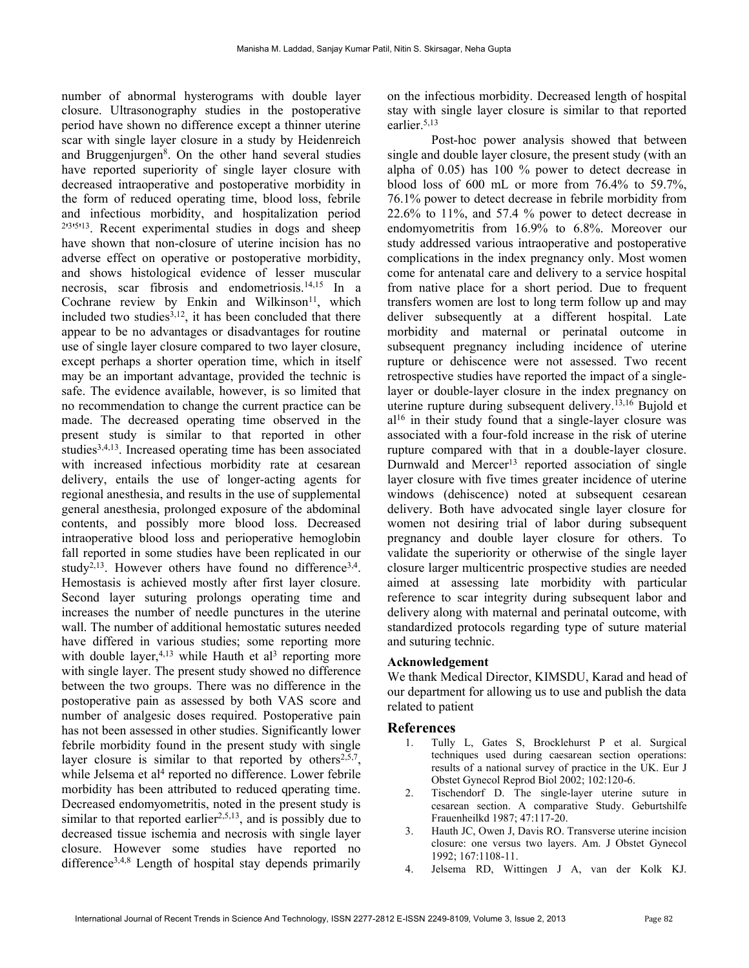number of abnormal hysterograms with double layer closure. Ultrasonography studies in the postoperative period have shown no difference except a thinner uterine scar with single layer closure in a study by Heidenreich and Bruggenjurgen<sup>8</sup>. On the other hand several studies have reported superiority of single layer closure with decreased intraoperative and postoperative morbidity in the form of reduced operating time, blood loss, febrile and infectious morbidity, and hospitalization period 2<sup>1315113</sup>. Recent experimental studies in dogs and sheep have shown that non-closure of uterine incision has no adverse effect on operative or postoperative morbidity, and shows histological evidence of lesser muscular necrosis, scar fibrosis and endometriosis.14,15 In a Cochrane review by Enkin and Wilkinson<sup>11</sup>, which included two studies $^{3,12}$ , it has been concluded that there appear to be no advantages or disadvantages for routine use of single layer closure compared to two layer closure, except perhaps a shorter operation time, which in itself may be an important advantage, provided the technic is safe. The evidence available, however, is so limited that no recommendation to change the current practice can be made. The decreased operating time observed in the present study is similar to that reported in other studies<sup>3,4,13</sup>. Increased operating time has been associated with increased infectious morbidity rate at cesarean delivery, entails the use of longer-acting agents for regional anesthesia, and results in the use of supplemental general anesthesia, prolonged exposure of the abdominal contents, and possibly more blood loss. Decreased intraoperative blood loss and perioperative hemoglobin fall reported in some studies have been replicated in our study<sup>2,13</sup>. However others have found no difference<sup>3,4</sup>. Hemostasis is achieved mostly after first layer closure. Second layer suturing prolongs operating time and increases the number of needle punctures in the uterine wall. The number of additional hemostatic sutures needed have differed in various studies; some reporting more with double layer,  $4,13$  while Hauth et al<sup>3</sup> reporting more with single layer. The present study showed no difference between the two groups. There was no difference in the postoperative pain as assessed by both VAS score and number of analgesic doses required. Postoperative pain has not been assessed in other studies. Significantly lower febrile morbidity found in the present study with single layer closure is similar to that reported by others<sup>2,5,7</sup>, while Jelsema et al<sup>4</sup> reported no difference. Lower febrile morbidity has been attributed to reduced qperating time. Decreased endomyometritis, noted in the present study is similar to that reported earlier<sup>2,5,13</sup>, and is possibly due to decreased tissue ischemia and necrosis with single layer closure. However some studies have reported no difference<sup>3,4,8</sup> Length of hospital stay depends primarily

on the infectious morbidity. Decreased length of hospital stay with single layer closure is similar to that reported earlier. $5,13$ 

Post-hoc power analysis showed that between single and double layer closure, the present study (with an alpha of 0.05) has 100 % power to detect decrease in blood loss of 600 mL or more from 76.4% to 59.7%, 76.1% power to detect decrease in febrile morbidity from 22.6% to 11%, and 57.4 % power to detect decrease in endomyometritis from 16.9% to 6.8%. Moreover our study addressed various intraoperative and postoperative complications in the index pregnancy only. Most women come for antenatal care and delivery to a service hospital from native place for a short period. Due to frequent transfers women are lost to long term follow up and may deliver subsequently at a different hospital. Late morbidity and maternal or perinatal outcome in subsequent pregnancy including incidence of uterine rupture or dehiscence were not assessed. Two recent retrospective studies have reported the impact of a singlelayer or double-layer closure in the index pregnancy on uterine rupture during subsequent delivery.13,16 Bujold et  $al<sup>16</sup>$  in their study found that a single-layer closure was associated with a four-fold increase in the risk of uterine rupture compared with that in a double-layer closure. Durnwald and Mercer<sup>13</sup> reported association of single layer closure with five times greater incidence of uterine windows (dehiscence) noted at subsequent cesarean delivery. Both have advocated single layer closure for women not desiring trial of labor during subsequent pregnancy and double layer closure for others. To validate the superiority or otherwise of the single layer closure larger multicentric prospective studies are needed aimed at assessing late morbidity with particular reference to scar integrity during subsequent labor and delivery along with maternal and perinatal outcome, with standardized protocols regarding type of suture material and suturing technic.

#### Acknowledgement

We thank Medical Director, KIMSDU, Karad and head of our department for allowing us to use and publish the data related to patient

#### References

- 1. Tully L, Gates S, Brocklehurst P et al. Surgical techniques used during caesarean section operations: results of a national survey of practice in the UK. Eur J Obstet Gynecol Reprod Biol 2002; 102:120-6.
- 2. Tischendorf D. The single-layer uterine suture in cesarean section. A comparative Study. Geburtshilfe Frauenheilkd 1987; 47:117-20.
- 3. Hauth JC, Owen J, Davis RO. Transverse uterine incision closure: one versus two layers. Am. J Obstet Gynecol 1992; 167:1108-11.
- 4. Jelsema RD, Wittingen J A, van der Kolk KJ.